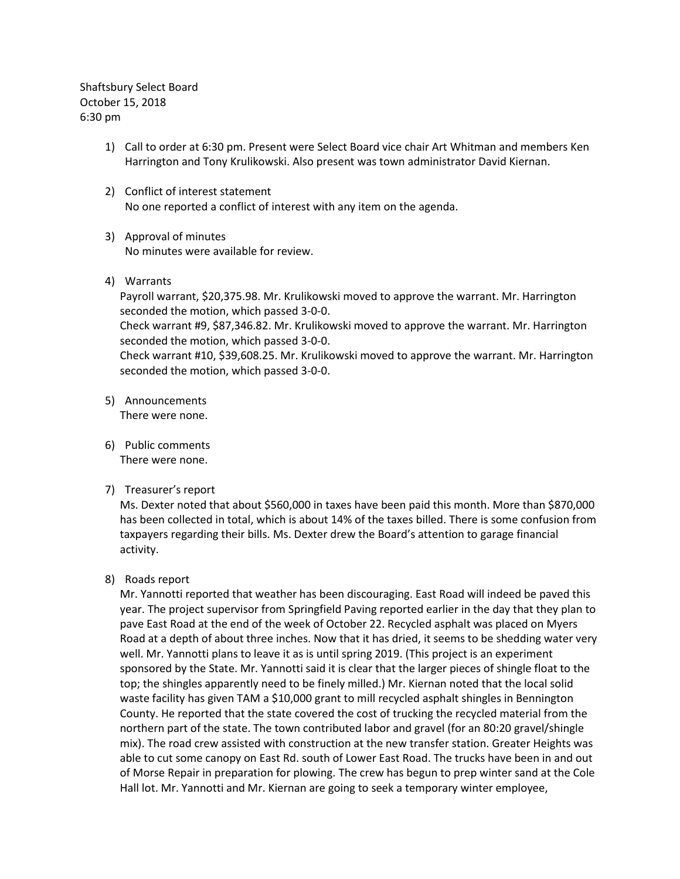Shaftsbury Select Board October 15, 2018 6:30 pm

- 1) Call to order at 6:30 pm. Present were Select Board vice chair Art Whitman and members Ken Harrington and Tony Krulikowski. Also present was town administrator David Kiernan.
- 2) Conflict of interest statement No one reported a conflict of interest with any item on the agenda.
- 3) Approval of minutes No minutes were available for review.
- 4) Warrants

Payroll warrant, \$20,375.98. Mr. Krulikowski moved to approve the warrant. Mr. Harrington seconded the motion, which passed 3-0-0. Check warrant #9, \$87,346.82. Mr. Krulikowski moved to approve the warrant. Mr. Harrington seconded the motion, which passed 3-0-0. Check warrant #10, \$39,608.25. Mr. Krulikowski moved to approve the warrant. Mr. Harrington seconded the motion, which passed 3-0-0.

- 5) Announcements There were none.
- 6) Public comments There were none.
- 7) Treasurer's report

Ms. Dexter noted that about \$560,000 in taxes have been paid this month. More than \$870,000 has been collected in total, which is about 14% of the taxes billed. There is some confusion from taxpayers regarding their bills. Ms. Dexter drew the Board's attention to garage financial activity.

### 8) Roads report

Mr. Yannotti reported that weather has been discouraging. East Road will indeed be paved this year. The project supervisor from Springfield Paving reported earlier in the day that they plan to pave East Road at the end of the week of October 22. Recycled asphalt was placed on Myers Road at a depth of about three inches. Now that it has dried, it seems to be shedding water very well. Mr. Yannotti plans to leave it as is until spring 2019. (This project is an experiment sponsored by the State. Mr. Yannotti said it is clear that the larger pieces of shingle float to the top; the shingles apparently need to be finely milled.) Mr. Kiernan noted that the local solid waste facility has given TAM a \$10,000 grant to mill recycled asphalt shingles in Bennington County. He reported that the state covered the cost of trucking the recycled material from the northern part of the state. The town contributed labor and gravel (for an 80:20 gravel/shingle mix). The road crew assisted with construction at the new transfer station. Greater Heights was able to cut some canopy on East Rd. south of Lower East Road. The trucks have been in and out of Morse Repair in preparation for plowing. The crew has begun to prep winter sand at the Cole Hall lot. Mr. Yannotti and Mr. Kiernan are going to seek a temporary winter employee,